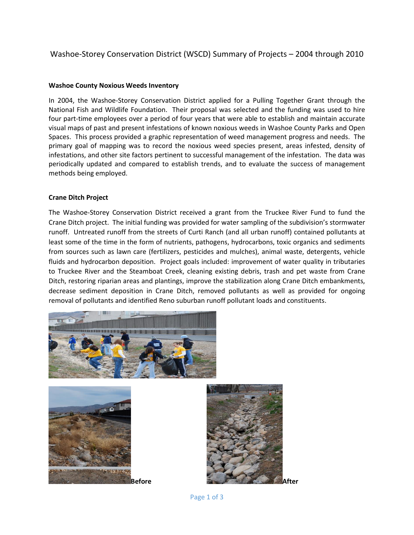## Washoe-Storey Conservation District (WSCD) Summary of Projects – 2004 through 2010

## **Washoe County Noxious Weeds Inventory**

In 2004, the Washoe-Storey Conservation District applied for a Pulling Together Grant through the National Fish and Wildlife Foundation. Their proposal was selected and the funding was used to hire four part-time employees over a period of four years that were able to establish and maintain accurate visual maps of past and present infestations of known noxious weeds in Washoe County Parks and Open Spaces. This process provided a graphic representation of weed management progress and needs. The primary goal of mapping was to record the noxious weed species present, areas infested, density of infestations, and other site factors pertinent to successful management of the infestation. The data was periodically updated and compared to establish trends, and to evaluate the success of management methods being employed.

## **Crane Ditch Project**

The Washoe-Storey Conservation District received a grant from the Truckee River Fund to fund the Crane Ditch project. The initial funding was provided for water sampling of the subdivision's stormwater runoff. Untreated runoff from the streets of Curti Ranch (and all urban runoff) contained pollutants at least some of the time in the form of nutrients, pathogens, hydrocarbons, toxic organics and sediments from sources such as lawn care (fertilizers, pesticides and mulches), animal waste, detergents, vehicle fluids and hydrocarbon deposition. Project goals included: improvement of water quality in tributaries to Truckee River and the Steamboat Creek, cleaning existing debris, trash and pet waste from Crane Ditch, restoring riparian areas and plantings, improve the stabilization along Crane Ditch embankments, decrease sediment deposition in Crane Ditch, removed pollutants as well as provided for ongoing removal of pollutants and identified Reno suburban runoff pollutant loads and constituents.







Page 1 of 3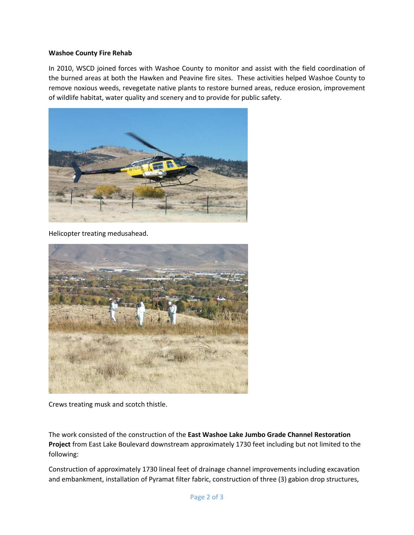## **Washoe County Fire Rehab**

In 2010, WSCD joined forces with Washoe County to monitor and assist with the field coordination of the burned areas at both the Hawken and Peavine fire sites. These activities helped Washoe County to remove noxious weeds, revegetate native plants to restore burned areas, reduce erosion, improvement of wildlife habitat, water quality and scenery and to provide for public safety.



Helicopter treating medusahead.



Crews treating musk and scotch thistle.

The work consisted of the construction of the **East Washoe Lake Jumbo Grade Channel Restoration Project** from East Lake Boulevard downstream approximately 1730 feet including but not limited to the following:

Construction of approximately 1730 lineal feet of drainage channel improvements including excavation and embankment, installation of Pyramat filter fabric, construction of three (3) gabion drop structures,